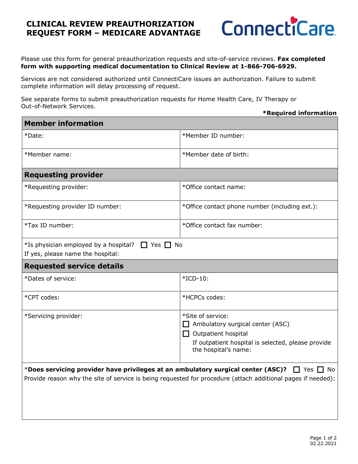## **CLINICAL REVIEW PREAUTHORIZATION REQUEST FORM – MEDICARE ADVANTAGE**



Please use this form for general preauthorization requests and site-of-service reviews. **Fax completed form with supporting medical documentation to Clinical Review at 1-866-706-6929.**

Services are not considered authorized until ConnectiCare issues an authorization. Failure to submit complete information will delay processing of request.

See separate forms to submit preauthorization requests for Home Health Care, IV Therapy or Out-of-Network Services.

## **\*Required information**

| <b>Member information</b>                                                                                                                                                                                                |                                                                                                                                                                   |
|--------------------------------------------------------------------------------------------------------------------------------------------------------------------------------------------------------------------------|-------------------------------------------------------------------------------------------------------------------------------------------------------------------|
| *Date:                                                                                                                                                                                                                   | *Member ID number:                                                                                                                                                |
| *Member name:                                                                                                                                                                                                            | *Member date of birth:                                                                                                                                            |
| <b>Requesting provider</b>                                                                                                                                                                                               |                                                                                                                                                                   |
| *Requesting provider:                                                                                                                                                                                                    | *Office contact name:                                                                                                                                             |
| *Requesting provider ID number:                                                                                                                                                                                          | *Office contact phone number (including ext.):                                                                                                                    |
| *Tax ID number:                                                                                                                                                                                                          | *Office contact fax number:                                                                                                                                       |
| *Is physician employed by a hospital? $\Box$ Yes $\Box$ No<br>If yes, please name the hospital:                                                                                                                          |                                                                                                                                                                   |
| <b>Requested service details</b>                                                                                                                                                                                         |                                                                                                                                                                   |
| *Dates of service:                                                                                                                                                                                                       | $*ICD-10$ :                                                                                                                                                       |
| *CPT codes:                                                                                                                                                                                                              | *HCPCs codes:                                                                                                                                                     |
| *Servicing provider:                                                                                                                                                                                                     | *Site of service:<br>Ambulatory surgical center (ASC)<br>$\Box$ Outpatient hospital<br>If outpatient hospital is selected, please provide<br>the hospital's name: |
| *Does servicing provider have privileges at an ambulatory surgical center (ASC)? $\Box$ Yes $\Box$<br>No<br>Provide reason why the site of service is being requested for procedure (attach additional pages if needed): |                                                                                                                                                                   |